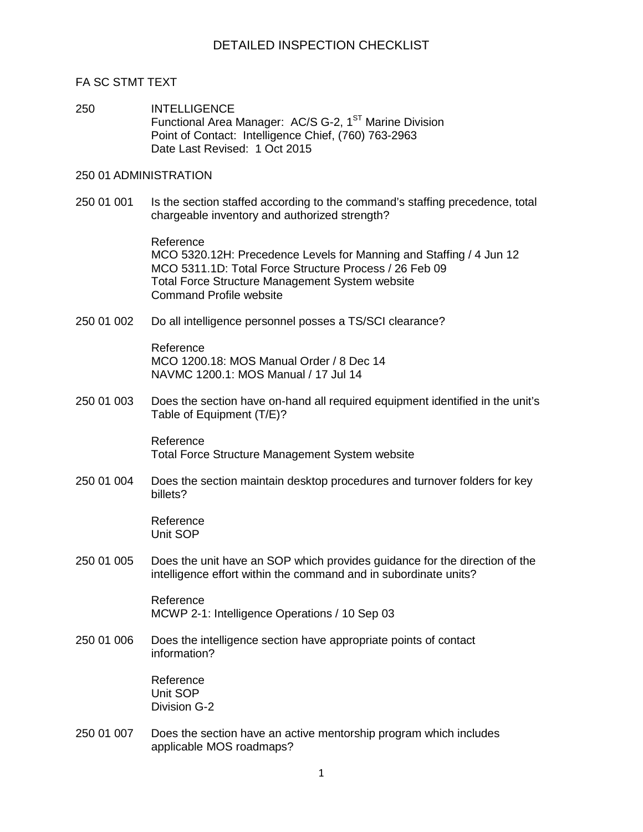### FA SC STMT TEXT

250 INTELLIGENCE Functional Area Manager: AC/S G-2, 1<sup>ST</sup> Marine Division Point of Contact: Intelligence Chief, (760) 763-2963 Date Last Revised: 1 Oct 2015

### 250 01 ADMINISTRATION

250 01 001 Is the section staffed according to the command's staffing precedence, total chargeable inventory and authorized strength?

> Reference MCO 5320.12H: Precedence Levels for Manning and Staffing / 4 Jun 12 MCO 5311.1D: Total Force Structure Process / 26 Feb 09 Total Force Structure Management System website Command Profile website

250 01 002 Do all intelligence personnel posses a TS/SCI clearance?

Reference MCO 1200.18: MOS Manual Order / 8 Dec 14 NAVMC 1200.1: MOS Manual / 17 Jul 14

250 01 003 Does the section have on-hand all required equipment identified in the unit's Table of Equipment (T/E)?

> Reference Total Force Structure Management System website

250 01 004 Does the section maintain desktop procedures and turnover folders for key billets?

> Reference Unit SOP

250 01 005 Does the unit have an SOP which provides guidance for the direction of the intelligence effort within the command and in subordinate units?

> Reference MCWP 2-1: Intelligence Operations / 10 Sep 03

250 01 006 Does the intelligence section have appropriate points of contact information?

> Reference Unit SOP Division G-2

250 01 007 Does the section have an active mentorship program which includes applicable MOS roadmaps?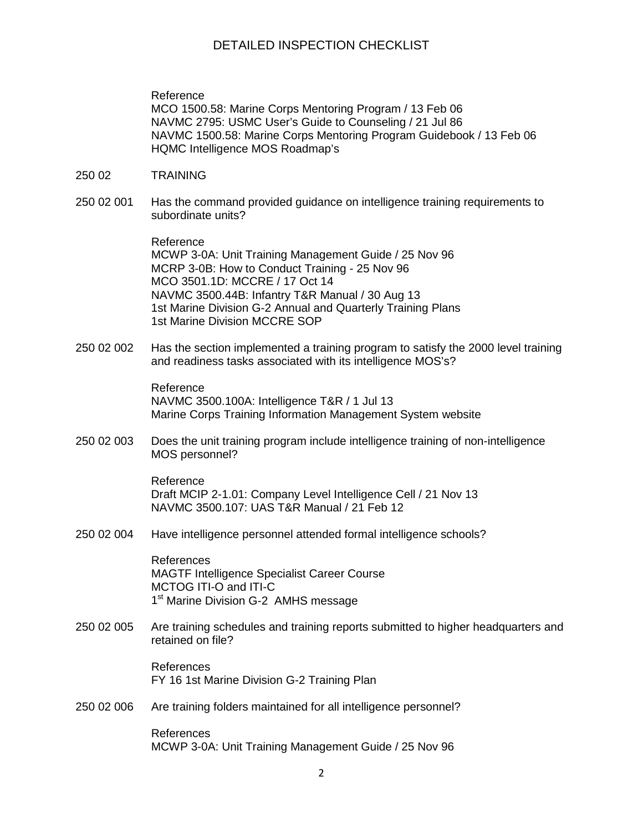## DETAILED INSPECTION CHECKLIST

Reference MCO 1500.58: Marine Corps Mentoring Program / 13 Feb 06 NAVMC 2795: USMC User's Guide to Counseling / 21 Jul 86 NAVMC 1500.58: Marine Corps Mentoring Program Guidebook / 13 Feb 06 HQMC Intelligence MOS Roadmap's

- 250 02 TRAINING
- 250 02 001 Has the command provided guidance on intelligence training requirements to subordinate units?

Reference MCWP 3-0A: Unit Training Management Guide / 25 Nov 96 MCRP 3-0B: How to Conduct Training - 25 Nov 96 MCO 3501.1D: MCCRE / 17 Oct 14 NAVMC 3500.44B: Infantry T&R Manual / 30 Aug 13 1st Marine Division G-2 Annual and Quarterly Training Plans 1st Marine Division MCCRE SOP

250 02 002 Has the section implemented a training program to satisfy the 2000 level training and readiness tasks associated with its intelligence MOS's?

> Reference NAVMC 3500.100A: Intelligence T&R / 1 Jul 13 Marine Corps Training Information Management System website

250 02 003 Does the unit training program include intelligence training of non-intelligence MOS personnel?

> Reference Draft MCIP 2-1.01: Company Level Intelligence Cell / 21 Nov 13 NAVMC 3500.107: UAS T&R Manual / 21 Feb 12

250 02 004 Have intelligence personnel attended formal intelligence schools?

References MAGTF Intelligence Specialist Career Course MCTOG ITI-O and ITI-C 1<sup>st</sup> Marine Division G-2 AMHS message

250 02 005 Are training schedules and training reports submitted to higher headquarters and retained on file?

> References FY 16 1st Marine Division G-2 Training Plan

250 02 006 Are training folders maintained for all intelligence personnel?

References MCWP 3-0A: Unit Training Management Guide / 25 Nov 96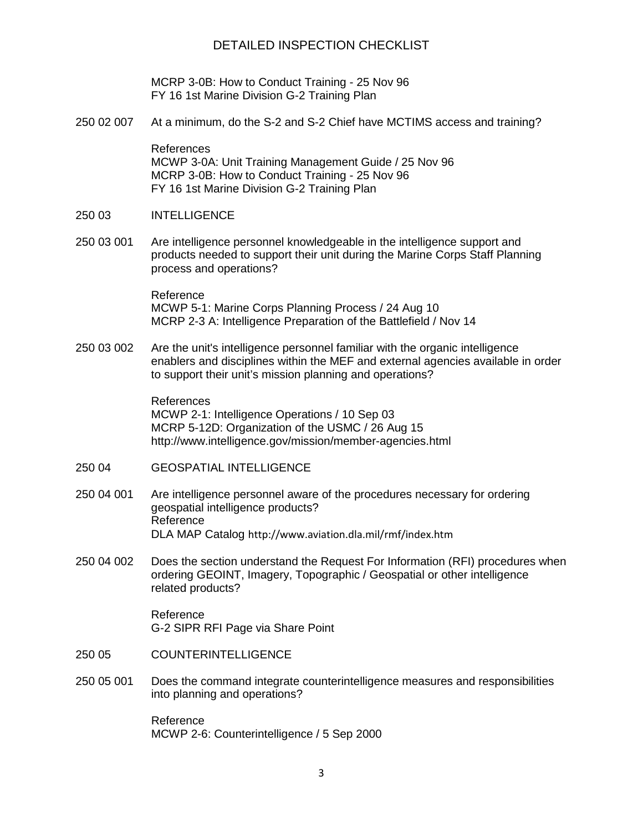## DETAILED INSPECTION CHECKLIST

MCRP 3-0B: How to Conduct Training - 25 Nov 96 FY 16 1st Marine Division G-2 Training Plan

250 02 007 At a minimum, do the S-2 and S-2 Chief have MCTIMS access and training?

References MCWP 3-0A: Unit Training Management Guide / 25 Nov 96 MCRP 3-0B: How to Conduct Training - 25 Nov 96 FY 16 1st Marine Division G-2 Training Plan

#### 250 03 INTELLIGENCE

250 03 001 Are intelligence personnel knowledgeable in the intelligence support and products needed to support their unit during the Marine Corps Staff Planning process and operations?

> Reference MCWP 5-1: Marine Corps Planning Process / 24 Aug 10 MCRP 2-3 A: Intelligence Preparation of the Battlefield / Nov 14

250 03 002 Are the unit's intelligence personnel familiar with the organic intelligence enablers and disciplines within the MEF and external agencies available in order to support their unit's mission planning and operations?

> References MCWP 2-1: Intelligence Operations / 10 Sep 03 MCRP 5-12D: Organization of the USMC / 26 Aug 15 http://www.intelligence.gov/mission/member-agencies.html

- 250 04 GEOSPATIAL INTELLIGENCE
- 250 04 001 Are intelligence personnel aware of the procedures necessary for ordering geospatial intelligence products? Reference DLA MAP Catalog http://www.aviation.dla.mil/rmf/index.htm
- 250 04 002 Does the section understand the Request For Information (RFI) procedures when ordering GEOINT, Imagery, Topographic / Geospatial or other intelligence related products?

Reference G-2 SIPR RFI Page via Share Point

- 250 05 COUNTERINTELLIGENCE
- 250 05 001 Does the command integrate counterintelligence measures and responsibilities into planning and operations?

Reference MCWP 2-6: Counterintelligence / 5 Sep 2000